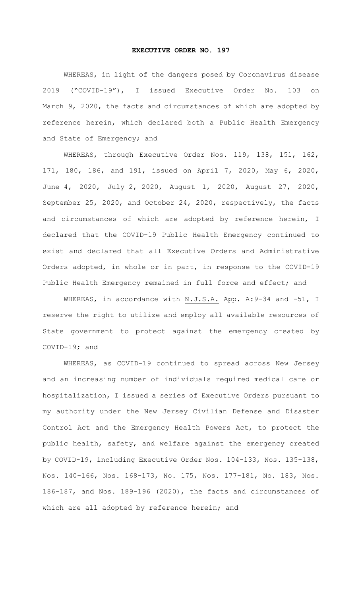## **EXECUTIVE ORDER NO. 197**

WHEREAS, in light of the dangers posed by Coronavirus disease 2019 ("COVID-19"), I issued Executive Order No. 103 on March 9, 2020, the facts and circumstances of which are adopted by reference herein, which declared both a Public Health Emergency and State of Emergency; and

WHEREAS, through Executive Order Nos. 119, 138, 151, 162, 171, 180, 186, and 191, issued on April 7, 2020, May 6, 2020, June 4, 2020, July 2, 2020, August 1, 2020, August 27, 2020, September 25, 2020, and October 24, 2020, respectively, the facts and circumstances of which are adopted by reference herein, I declared that the COVID-19 Public Health Emergency continued to exist and declared that all Executive Orders and Administrative Orders adopted, in whole or in part, in response to the COVID-19 Public Health Emergency remained in full force and effect; and

WHEREAS, in accordance with N.J.S.A. App. A: 9-34 and -51, I reserve the right to utilize and employ all available resources of State government to protect against the emergency created by COVID-19; and

WHEREAS, as COVID-19 continued to spread across New Jersey and an increasing number of individuals required medical care or hospitalization, I issued a series of Executive Orders pursuant to my authority under the New Jersey Civilian Defense and Disaster Control Act and the Emergency Health Powers Act, to protect the public health, safety, and welfare against the emergency created by COVID-19, including Executive Order Nos. 104-133, Nos. 135-138, Nos. 140-166, Nos. 168-173, No. 175, Nos. 177-181, No. 183, Nos. 186-187, and Nos. 189-196 (2020), the facts and circumstances of which are all adopted by reference herein; and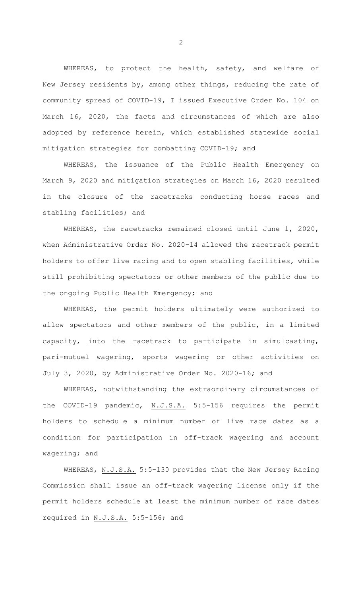WHEREAS, to protect the health, safety, and welfare of New Jersey residents by, among other things, reducing the rate of community spread of COVID-19, I issued Executive Order No. 104 on March 16, 2020, the facts and circumstances of which are also adopted by reference herein, which established statewide social mitigation strategies for combatting COVID-19; and

WHEREAS, the issuance of the Public Health Emergency on March 9, 2020 and mitigation strategies on March 16, 2020 resulted in the closure of the racetracks conducting horse races and stabling facilities; and

WHEREAS, the racetracks remained closed until June 1, 2020, when Administrative Order No. 2020-14 allowed the racetrack permit holders to offer live racing and to open stabling facilities, while still prohibiting spectators or other members of the public due to the ongoing Public Health Emergency; and

WHEREAS, the permit holders ultimately were authorized to allow spectators and other members of the public, in a limited capacity, into the racetrack to participate in simulcasting, pari-mutuel wagering, sports wagering or other activities on July 3, 2020, by Administrative Order No. 2020-16; and

WHEREAS, notwithstanding the extraordinary circumstances of the COVID-19 pandemic, N.J.S.A. 5:5-156 requires the permit holders to schedule a minimum number of live race dates as a condition for participation in off-track wagering and account wagering; and

WHEREAS, N.J.S.A. 5:5-130 provides that the New Jersey Racing Commission shall issue an off-track wagering license only if the permit holders schedule at least the minimum number of race dates required in N.J.S.A. 5:5-156; and

2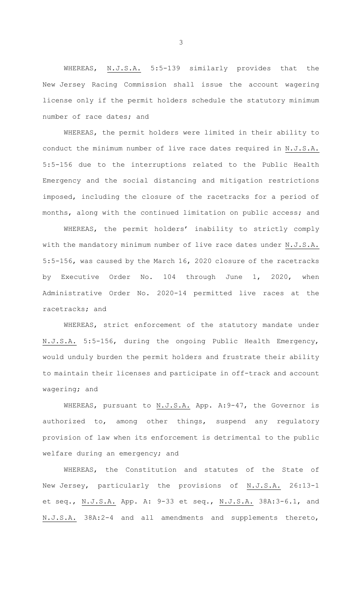WHEREAS, N.J.S.A. 5:5-139 similarly provides that the New Jersey Racing Commission shall issue the account wagering license only if the permit holders schedule the statutory minimum number of race dates; and

WHEREAS, the permit holders were limited in their ability to conduct the minimum number of live race dates required in N.J.S.A. 5:5-156 due to the interruptions related to the Public Health Emergency and the social distancing and mitigation restrictions imposed, including the closure of the racetracks for a period of months, along with the continued limitation on public access; and

WHEREAS, the permit holders' inability to strictly comply with the mandatory minimum number of live race dates under N.J.S.A. 5:5-156, was caused by the March 16, 2020 closure of the racetracks by Executive Order No. 104 through June 1, 2020, when Administrative Order No. 2020-14 permitted live races at the racetracks; and

WHEREAS, strict enforcement of the statutory mandate under N.J.S.A. 5:5-156, during the ongoing Public Health Emergency, would unduly burden the permit holders and frustrate their ability to maintain their licenses and participate in off-track and account wagering; and

WHEREAS, pursuant to N.J.S.A. App. A:9-47, the Governor is authorized to, among other things, suspend any regulatory provision of law when its enforcement is detrimental to the public welfare during an emergency; and

WHEREAS, the Constitution and statutes of the State of New Jersey, particularly the provisions of N.J.S.A. 26:13-1 et seq., N.J.S.A. App. A: 9-33 et seq., N.J.S.A. 38A:3-6.1, and N.J.S.A. 38A:2-4 and all amendments and supplements thereto,

3